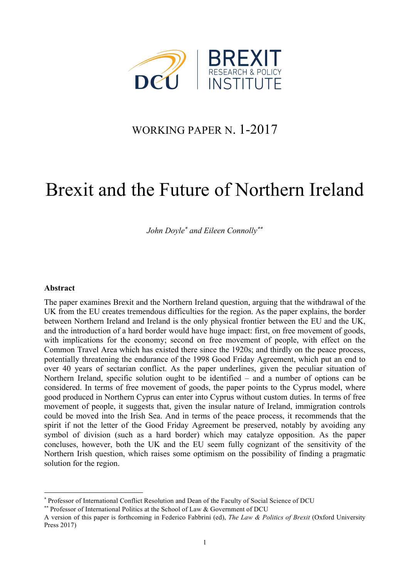

# WORKING PAPER N. 1-2017

# Brexit and the Future of Northern Ireland

*John Doyle*\* *and Eileen Connolly*\*\*

### **Abstract**

The paper examines Brexit and the Northern Ireland question, arguing that the withdrawal of the UK from the EU creates tremendous difficulties for the region. As the paper explains, the border between Northern Ireland and Ireland is the only physical frontier between the EU and the UK, and the introduction of a hard border would have huge impact: first, on free movement of goods, with implications for the economy; second on free movement of people, with effect on the Common Travel Area which has existed there since the 1920s; and thirdly on the peace process, potentially threatening the endurance of the 1998 Good Friday Agreement, which put an end to over 40 years of sectarian conflict. As the paper underlines, given the peculiar situation of Northern Ireland, specific solution ought to be identified – and a number of options can be considered. In terms of free movement of goods, the paper points to the Cyprus model, where good produced in Northern Cyprus can enter into Cyprus without custom duties. In terms of free movement of people, it suggests that, given the insular nature of Ireland, immigration controls could be moved into the Irish Sea. And in terms of the peace process, it recommends that the spirit if not the letter of the Good Friday Agreement be preserved, notably by avoiding any symbol of division (such as a hard border) which may catalyze opposition. As the paper concluses, however, both the UK and the EU seem fully cognizant of the sensitivity of the Northern Irish question, which raises some optimism on the possibility of finding a pragmatic solution for the region.

 

<sup>\*</sup> Professor of International Conflict Resolution and Dean of the Faculty of Social Science of DCU

<sup>\*\*</sup> Professor of International Politics at the School of Law & Government of DCU

A version of this paper is forthcoming in Federico Fabbrini (ed), *The Law & Politics of Brexit* (Oxford University Press 2017)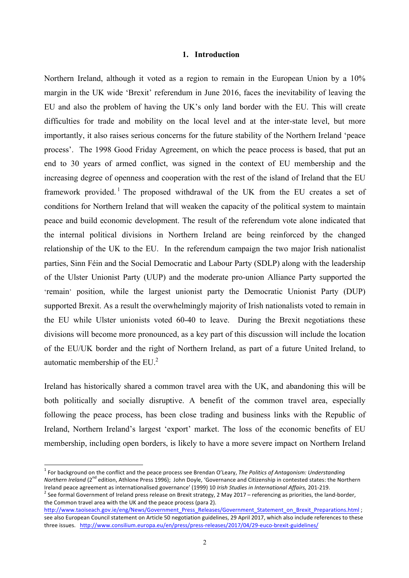#### **1. Introduction**

Northern Ireland, although it voted as a region to remain in the European Union by a 10% margin in the UK wide 'Brexit' referendum in June 2016, faces the inevitability of leaving the EU and also the problem of having the UK's only land border with the EU. This will create difficulties for trade and mobility on the local level and at the inter-state level, but more importantly, it also raises serious concerns for the future stability of the Northern Ireland 'peace process'. The 1998 Good Friday Agreement, on which the peace process is based, that put an end to 30 years of armed conflict, was signed in the context of EU membership and the increasing degree of openness and cooperation with the rest of the island of Ireland that the EU framework provided.<sup>1</sup> The proposed withdrawal of the UK from the EU creates a set of conditions for Northern Ireland that will weaken the capacity of the political system to maintain peace and build economic development. The result of the referendum vote alone indicated that the internal political divisions in Northern Ireland are being reinforced by the changed relationship of the UK to the EU. In the referendum campaign the two major Irish nationalist parties, Sinn Féin and the Social Democratic and Labour Party (SDLP) along with the leadership of the Ulster Unionist Party (UUP) and the moderate pro-union Alliance Party supported the 'remain' position, while the largest unionist party the Democratic Unionist Party (DUP) supported Brexit. As a result the overwhelmingly majority of Irish nationalists voted to remain in the EU while Ulster unionists voted 60-40 to leave. During the Brexit negotiations these divisions will become more pronounced, as a key part of this discussion will include the location of the EU/UK border and the right of Northern Ireland, as part of a future United Ireland, to automatic membership of the  $EU^2$ .

Ireland has historically shared a common travel area with the UK, and abandoning this will be both politically and socially disruptive. A benefit of the common travel area, especially following the peace process, has been close trading and business links with the Republic of Ireland, Northern Ireland's largest 'export' market. The loss of the economic benefits of EU membership, including open borders, is likely to have a more severe impact on Northern Ireland

<sup>&</sup>lt;sup>1</sup> For background on the conflict and the peace process see Brendan O'Leary, *The Politics of Antagonism: Understanding Northern Ireland* (2<sup>nd</sup> edition, Athlone Press 1996); John Doyle, 'Governance and Citizenship in contested states: the Northern Ireland peace agreement as internationalised governance' (1999) 10 Irish Studies in International Affairs, 201-219.<br><sup>2</sup> See formal Government of Ireland press release on Brexit strategy, 2 May 2017 – referencing as priori

the Common travel area with the UK and the peace process (para 2).

http://www.taoiseach.gov.ie/eng/News/Government\_Press\_Releases/Government\_Statement\_on\_Brexit\_Preparations.html ; see also European Council statement on Article 50 negotiation guidelines, 29 April 2017, which also include references to these three issues. http://www.consilium.europa.eu/en/press/press-releases/2017/04/29-euco-brexit-guidelines/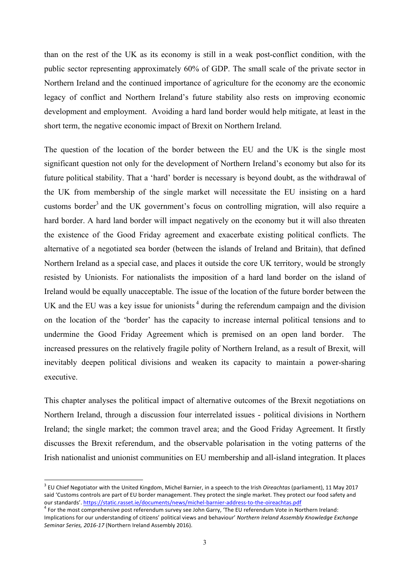than on the rest of the UK as its economy is still in a weak post-conflict condition, with the public sector representing approximately 60% of GDP. The small scale of the private sector in Northern Ireland and the continued importance of agriculture for the economy are the economic legacy of conflict and Northern Ireland's future stability also rests on improving economic development and employment. Avoiding a hard land border would help mitigate, at least in the short term, the negative economic impact of Brexit on Northern Ireland.

The question of the location of the border between the EU and the UK is the single most significant question not only for the development of Northern Ireland's economy but also for its future political stability. That a 'hard' border is necessary is beyond doubt, as the withdrawal of the UK from membership of the single market will necessitate the EU insisting on a hard customs border<sup>3</sup> and the UK government's focus on controlling migration, will also require a hard border. A hard land border will impact negatively on the economy but it will also threaten the existence of the Good Friday agreement and exacerbate existing political conflicts. The alternative of a negotiated sea border (between the islands of Ireland and Britain), that defined Northern Ireland as a special case, and places it outside the core UK territory, would be strongly resisted by Unionists. For nationalists the imposition of a hard land border on the island of Ireland would be equally unacceptable. The issue of the location of the future border between the UK and the EU was a key issue for unionists  $4$  during the referendum campaign and the division on the location of the 'border' has the capacity to increase internal political tensions and to undermine the Good Friday Agreement which is premised on an open land border. The increased pressures on the relatively fragile polity of Northern Ireland, as a result of Brexit, will inevitably deepen political divisions and weaken its capacity to maintain a power-sharing executive.

This chapter analyses the political impact of alternative outcomes of the Brexit negotiations on Northern Ireland, through a discussion four interrelated issues - political divisions in Northern Ireland; the single market; the common travel area; and the Good Friday Agreement. It firstly discusses the Brexit referendum, and the observable polarisation in the voting patterns of the Irish nationalist and unionist communities on EU membership and all-island integration. It places

<sup>&</sup>lt;sup>3</sup> EU Chief Negotiator with the United Kingdom, Michel Barnier, in a speech to the Irish *Oireachtas* (parliament), 11 May 2017 said 'Customs controls are part of EU border management. They protect the single market. They protect our food safety and our standards'. https://static.rasset.ie/documents/news/michel-barnier-address-to-the-oireachtas.pdf 4 For the most comprehensive post referendum survey see John Garry, 'The EU referendum Vote in Northern Ireland:

Implications for our understanding of citizens' political views and behaviour' Northern Ireland Assembly Knowledge Exchange *Seminar Series, 2016-17* (Northern Ireland Assembly 2016).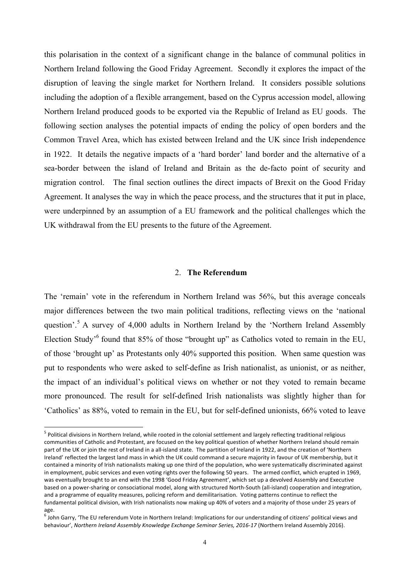this polarisation in the context of a significant change in the balance of communal politics in Northern Ireland following the Good Friday Agreement. Secondly it explores the impact of the disruption of leaving the single market for Northern Ireland. It considers possible solutions including the adoption of a flexible arrangement, based on the Cyprus accession model, allowing Northern Ireland produced goods to be exported via the Republic of Ireland as EU goods. The following section analyses the potential impacts of ending the policy of open borders and the Common Travel Area, which has existed between Ireland and the UK since Irish independence in 1922. It details the negative impacts of a 'hard border' land border and the alternative of a sea-border between the island of Ireland and Britain as the de-facto point of security and migration control. The final section outlines the direct impacts of Brexit on the Good Friday Agreement. It analyses the way in which the peace process, and the structures that it put in place, were underpinned by an assumption of a EU framework and the political challenges which the UK withdrawal from the EU presents to the future of the Agreement.

#### 2. **The Referendum**

The 'remain' vote in the referendum in Northern Ireland was 56%, but this average conceals major differences between the two main political traditions, reflecting views on the 'national question'.<sup>5</sup> A survey of 4,000 adults in Northern Ireland by the 'Northern Ireland Assembly Election Study<sup>5</sup> found that 85% of those "brought up" as Catholics voted to remain in the EU, of those 'brought up' as Protestants only 40% supported this position. When same question was put to respondents who were asked to self-define as Irish nationalist, as unionist, or as neither, the impact of an individual's political views on whether or not they voted to remain became more pronounced. The result for self-defined Irish nationalists was slightly higher than for 'Catholics' as 88%, voted to remain in the EU, but for self-defined unionists, 66% voted to leave

 $<sup>5</sup>$  Political divisions in Northern Ireland, while rooted in the colonial settlement and largely reflecting traditional religious</sup> communities of Catholic and Protestant, are focused on the key political question of whether Northern Ireland should remain part of the UK or join the rest of Ireland in a all-island state. The partition of Ireland in 1922, and the creation of 'Northern Ireland' reflected the largest land mass in which the UK could command a secure majority in favour of UK membership, but it contained a minority of Irish nationalists making up one third of the population, who were systematically discriminated against in employment, pubic services and even voting rights over the following 50 years. The armed conflict, which erupted in 1969, was eventually brought to an end with the 1998 'Good Friday Agreement', which set up a devolved Assembly and Executive based on a power-sharing or consociational model, along with structured North-South (all-island) cooperation and integration, and a programme of equality measures, policing reform and demilitarisation. Voting patterns continue to reflect the fundamental political division, with Irish nationalists now making up 40% of voters and a majority of those under 25 years of age.

 $6$  John Garry, 'The EU referendum Vote in Northern Ireland: Implications for our understanding of citizens' political views and behaviour', Northern *Ireland Assembly Knowledge Exchange Seminar Series, 2016-17* (Northern Ireland Assembly 2016).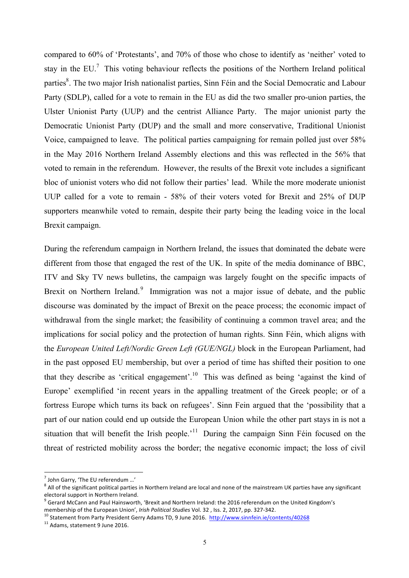compared to 60% of 'Protestants', and 70% of those who chose to identify as 'neither' voted to stay in the  $EU^7$ . This voting behaviour reflects the positions of the Northern Ireland political parties<sup>8</sup>. The two major Irish nationalist parties, Sinn Féin and the Social Democratic and Labour Party (SDLP), called for a vote to remain in the EU as did the two smaller pro-union parties, the Ulster Unionist Party (UUP) and the centrist Alliance Party. The major unionist party the Democratic Unionist Party (DUP) and the small and more conservative, Traditional Unionist Voice, campaigned to leave. The political parties campaigning for remain polled just over 58% in the May 2016 Northern Ireland Assembly elections and this was reflected in the 56% that voted to remain in the referendum. However, the results of the Brexit vote includes a significant bloc of unionist voters who did not follow their parties' lead. While the more moderate unionist UUP called for a vote to remain - 58% of their voters voted for Brexit and 25% of DUP supporters meanwhile voted to remain, despite their party being the leading voice in the local Brexit campaign.

During the referendum campaign in Northern Ireland, the issues that dominated the debate were different from those that engaged the rest of the UK. In spite of the media dominance of BBC, ITV and Sky TV news bulletins, the campaign was largely fought on the specific impacts of Brexit on Northern Ireland.<sup>9</sup> Immigration was not a major issue of debate, and the public discourse was dominated by the impact of Brexit on the peace process; the economic impact of withdrawal from the single market; the feasibility of continuing a common travel area; and the implications for social policy and the protection of human rights. Sinn Féin, which aligns with the *European United Left/Nordic Green Left (GUE/NGL)* block in the European Parliament, had in the past opposed EU membership, but over a period of time has shifted their position to one that they describe as 'critical engagement'.<sup>10</sup> This was defined as being 'against the kind of Europe' exemplified 'in recent years in the appalling treatment of the Greek people; or of a fortress Europe which turns its back on refugees'. Sinn Fein argued that the 'possibility that a part of our nation could end up outside the European Union while the other part stays in is not a situation that will benefit the Irish people.<sup>11</sup> During the campaign Sinn Féin focused on the threat of restricted mobility across the border; the negative economic impact; the loss of civil

 $<sup>7</sup>$  John Garry, 'The EU referendum ...'</sup>

 $8$  All of the significant political parties in Northern Ireland are local and none of the mainstream UK parties have any significant electoral support in Northern Ireland.

 $^9$  Gerard McCann and Paul Hainsworth, 'Brexit and Northern Ireland: the 2016 referendum on the United Kingdom's membership of the European Union', Irish Political Studies Vol. 32, Iss. 2, 2017, pp. 327-342.<br><sup>10</sup> Statement from Party President Gerry Adams TD, 9 June 2016. http://www.sinnfein.ie/contents/40268<br><sup>11</sup> Adams. statement 9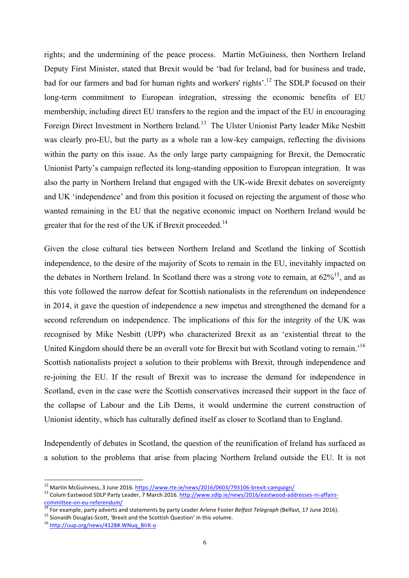rights; and the undermining of the peace process. Martin McGuiness, then Northern Ireland Deputy First Minister, stated that Brexit would be 'bad for Ireland, bad for business and trade, bad for our farmers and bad for human rights and workers' rights'.<sup>12</sup> The SDLP focused on their long-term commitment to European integration, stressing the economic benefits of EU membership, including direct EU transfers to the region and the impact of the EU in encouraging Foreign Direct Investment in Northern Ireland.<sup>13</sup> The Ulster Unionist Party leader Mike Nesbitt was clearly pro-EU, but the party as a whole ran a low-key campaign, reflecting the divisions within the party on this issue. As the only large party campaigning for Brexit, the Democratic Unionist Party's campaign reflected its long-standing opposition to European integration. It was also the party in Northern Ireland that engaged with the UK-wide Brexit debates on sovereignty and UK 'independence' and from this position it focused on rejecting the argument of those who wanted remaining in the EU that the negative economic impact on Northern Ireland would be greater that for the rest of the UK if Brexit proceeded.<sup>14</sup>

Given the close cultural ties between Northern Ireland and Scotland the linking of Scottish independence, to the desire of the majority of Scots to remain in the EU, inevitably impacted on the debates in Northern Ireland. In Scotland there was a strong vote to remain, at  $62\%$ <sup>15</sup>, and as this vote followed the narrow defeat for Scottish nationalists in the referendum on independence in 2014, it gave the question of independence a new impetus and strengthened the demand for a second referendum on independence. The implications of this for the integrity of the UK was recognised by Mike Nesbitt (UPP) who characterized Brexit as an 'existential threat to the United Kingdom should there be an overall vote for Brexit but with Scotland voting to remain.<sup>16</sup> Scottish nationalists project a solution to their problems with Brexit, through independence and re-joining the EU. If the result of Brexit was to increase the demand for independence in Scotland, even in the case were the Scottish conservatives increased their support in the face of the collapse of Labour and the Lib Dems, it would undermine the current construction of Unionist identity, which has culturally defined itself as closer to Scotland than to England.

Independently of debates in Scotland, the question of the reunification of Ireland has surfaced as a solution to the problems that arise from placing Northern Ireland outside the EU. It is not

<sup>&</sup>lt;sup>12</sup> Martin McGuinness, 3 June 2016. https://www.rte.ie/news/2016/0603/793106-brexit-campaign/ 13 Colum Eastwood SDLP Party Leader, 7 March 2016. http://www.sdlp.ie/news/2016/eastwood-addresses-ni-affairs-The Committee-on-eu-referendum/<br>
<sup>14</sup> For example, party adverts and statements by party Leader Arlene Foster Belfast Telegraph (Belfast, 17 June 2016).<br>
<sup>15</sup> Sionaidh Douglas-Scott, 'Brexit and the Scottish Question' in t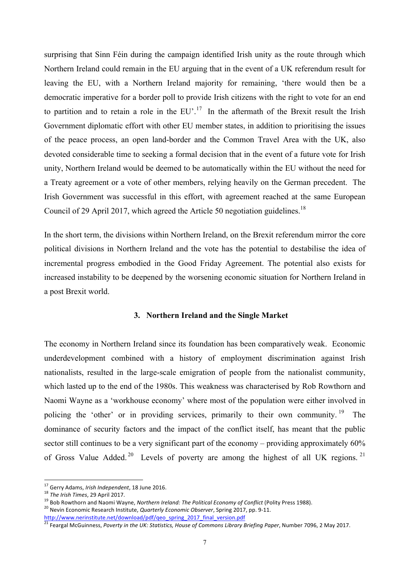surprising that Sinn Féin during the campaign identified Irish unity as the route through which Northern Ireland could remain in the EU arguing that in the event of a UK referendum result for leaving the EU, with a Northern Ireland majority for remaining, 'there would then be a democratic imperative for a border poll to provide Irish citizens with the right to vote for an end to partition and to retain a role in the  $EU'$ .<sup>17</sup> In the aftermath of the Brexit result the Irish Government diplomatic effort with other EU member states, in addition to prioritising the issues of the peace process, an open land-border and the Common Travel Area with the UK, also devoted considerable time to seeking a formal decision that in the event of a future vote for Irish unity, Northern Ireland would be deemed to be automatically within the EU without the need for a Treaty agreement or a vote of other members, relying heavily on the German precedent. The Irish Government was successful in this effort, with agreement reached at the same European Council of 29 April 2017, which agreed the Article 50 negotiation guidelines. 18

In the short term, the divisions within Northern Ireland, on the Brexit referendum mirror the core political divisions in Northern Ireland and the vote has the potential to destabilise the idea of incremental progress embodied in the Good Friday Agreement. The potential also exists for increased instability to be deepened by the worsening economic situation for Northern Ireland in a post Brexit world.

#### **3. Northern Ireland and the Single Market**

The economy in Northern Ireland since its foundation has been comparatively weak. Economic underdevelopment combined with a history of employment discrimination against Irish nationalists, resulted in the large-scale emigration of people from the nationalist community, which lasted up to the end of the 1980s. This weakness was characterised by Rob Rowthorn and Naomi Wayne as a 'workhouse economy' where most of the population were either involved in policing the 'other' or in providing services, primarily to their own community.<sup>19</sup> The dominance of security factors and the impact of the conflict itself, has meant that the public sector still continues to be a very significant part of the economy – providing approximately 60% of Gross Value Added.<sup>20</sup> Levels of poverty are among the highest of all UK regions.<sup>21</sup>

<sup>&</sup>lt;sup>17</sup> Gerry Adams, *Irish Independent*, 18 June 2016.<br><sup>18</sup> The Irish Times, 29 April 2017.<br><sup>19</sup> Bob Rowthorn and Naomi Wayne, *Northern Ireland: The Political Economy of Conflict* (Polity Press 1988).<br><sup>20</sup> Nevin Economic R

http://www.nerinstitute.net/download/pdf/qeo\_spring\_2017\_final\_version.pdf

<sup>&</sup>lt;sup>21</sup> Feargal McGuinness, Poverty in the UK: Statistics, House of Commons Library Briefing Paper, Number 7096, 2 May 2017.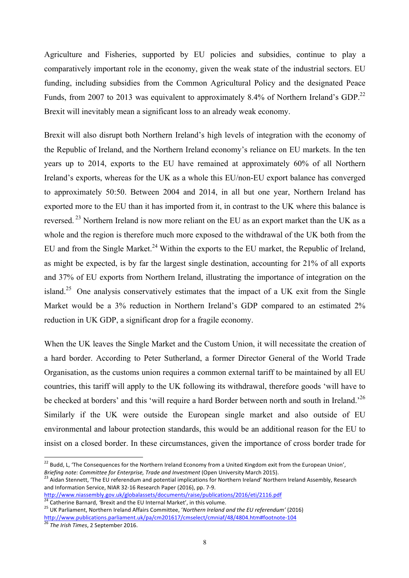Agriculture and Fisheries, supported by EU policies and subsidies, continue to play a comparatively important role in the economy, given the weak state of the industrial sectors. EU funding, including subsidies from the Common Agricultural Policy and the designated Peace Funds, from 2007 to 2013 was equivalent to approximately 8.4% of Northern Ireland's GDP.<sup>22</sup> Brexit will inevitably mean a significant loss to an already weak economy.

Brexit will also disrupt both Northern Ireland's high levels of integration with the economy of the Republic of Ireland, and the Northern Ireland economy's reliance on EU markets. In the ten years up to 2014, exports to the EU have remained at approximately 60% of all Northern Ireland's exports, whereas for the UK as a whole this EU/non-EU export balance has converged to approximately 50:50. Between 2004 and 2014, in all but one year, Northern Ireland has exported more to the EU than it has imported from it, in contrast to the UK where this balance is reversed.<sup>23</sup> Northern Ireland is now more reliant on the EU as an export market than the UK as a whole and the region is therefore much more exposed to the withdrawal of the UK both from the EU and from the Single Market.<sup>24</sup> Within the exports to the EU market, the Republic of Ireland, as might be expected, is by far the largest single destination, accounting for 21% of all exports and 37% of EU exports from Northern Ireland, illustrating the importance of integration on the island.<sup>25</sup> One analysis conservatively estimates that the impact of a UK exit from the Single Market would be a 3% reduction in Northern Ireland's GDP compared to an estimated 2% reduction in UK GDP, a significant drop for a fragile economy.

When the UK leaves the Single Market and the Custom Union, it will necessitate the creation of a hard border. According to Peter Sutherland, a former Director General of the World Trade Organisation, as the customs union requires a common external tariff to be maintained by all EU countries, this tariff will apply to the UK following its withdrawal, therefore goods 'will have to be checked at borders' and this 'will require a hard Border between north and south in Ireland.<sup>26</sup> Similarly if the UK were outside the European single market and also outside of EU environmental and labour protection standards, this would be an additional reason for the EU to insist on a closed border. In these circumstances, given the importance of cross border trade for

<sup>&</sup>lt;sup>22</sup> Budd. L, 'The Consequences for the Northern Ireland Economy from a United Kingdom exit from the European Union', *Briefing note: Committee for Enterprise, Trade and Investment* (Open University March 2015).<br><sup>23</sup> Aidan Stennett, 'The EU referendum and potential implications for Northern Ireland' Northern Ireland Assembly, Research

and Information Service, NIAR 32-16 Research Paper (2016), pp. 7-9.

http://www.niassembly.gov.uk/globalassets/documents/raise/publications/2016/eti/2116.pdf<br><sup>24</sup> Catherine Barnard, 'Brexit and the EU Internal Market', in this volume.

<sup>&</sup>lt;sup>25</sup> UK Parliament, Northern Ireland Affairs Committee, 'Northern Ireland and the EU referendum' (2016) http://www.publications.parliament.uk/pa/cm201617/cmselect/cmniaf/48/4804.htm#footnote-104 <sup>26</sup> The Irish Times, 2 September 2016.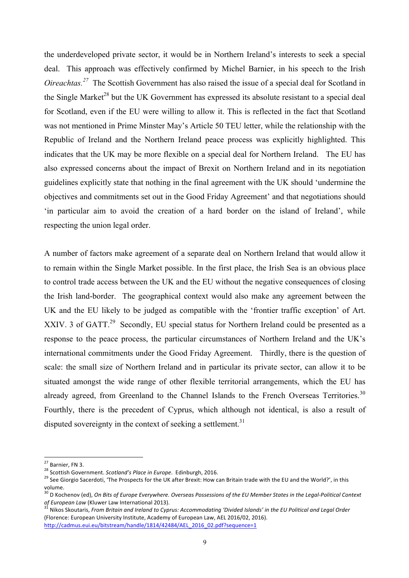the underdeveloped private sector, it would be in Northern Ireland's interests to seek a special deal. This approach was effectively confirmed by Michel Barnier, in his speech to the Irish *Oireachtas.<sup>27</sup>* The Scottish Government has also raised the issue of a special deal for Scotland in the Single Market<sup>28</sup> but the UK Government has expressed its absolute resistant to a special deal for Scotland, even if the EU were willing to allow it. This is reflected in the fact that Scotland was not mentioned in Prime Minster May's Article 50 TEU letter, while the relationship with the Republic of Ireland and the Northern Ireland peace process was explicitly highlighted. This indicates that the UK may be more flexible on a special deal for Northern Ireland. The EU has also expressed concerns about the impact of Brexit on Northern Ireland and in its negotiation guidelines explicitly state that nothing in the final agreement with the UK should 'undermine the objectives and commitments set out in the Good Friday Agreement' and that negotiations should 'in particular aim to avoid the creation of a hard border on the island of Ireland', while respecting the union legal order.

A number of factors make agreement of a separate deal on Northern Ireland that would allow it to remain within the Single Market possible. In the first place, the Irish Sea is an obvious place to control trade access between the UK and the EU without the negative consequences of closing the Irish land-border. The geographical context would also make any agreement between the UK and the EU likely to be judged as compatible with the 'frontier traffic exception' of Art. XXIV. 3 of GATT.<sup>29</sup> Secondly, EU special status for Northern Ireland could be presented as a response to the peace process, the particular circumstances of Northern Ireland and the UK's international commitments under the Good Friday Agreement. Thirdly, there is the question of scale: the small size of Northern Ireland and in particular its private sector, can allow it to be situated amongst the wide range of other flexible territorial arrangements, which the EU has already agreed, from Greenland to the Channel Islands to the French Overseas Territories.<sup>30</sup> Fourthly, there is the precedent of Cyprus, which although not identical, is also a result of disputed sovereignty in the context of seeking a settlement.<sup>31</sup>

<sup>&</sup>lt;sup>27</sup> Barnier, FN 3.<br><sup>28</sup> Scottish Government. *Scotland's Place in Europe*. Edinburgh, 2016.<br><sup>29</sup> See Giorgio Sacerdoti, 'The Prospects for the UK after Brexit: How can Britain trade with the EU and the World?', in this volume.

<sup>&</sup>lt;sup>30</sup> D Kochenov (ed), *On Bits of Europe Everywhere. Overseas Possessions of the EU Member States in the Legal-Political Context*<br>*of European Law* (Kluwer Law International 2013).

<sup>&</sup>lt;sup>31</sup> Nikos Skoutaris, *From Britain and Ireland to Cyprus: Accommodating 'Divided Islands' in the EU Political and Legal Order* (Florence: European University Institute, Academy of European Law, AEL 2016/02, 2016). http://cadmus.eui.eu/bitstream/handle/1814/42484/AEL\_2016\_02.pdf?sequence=1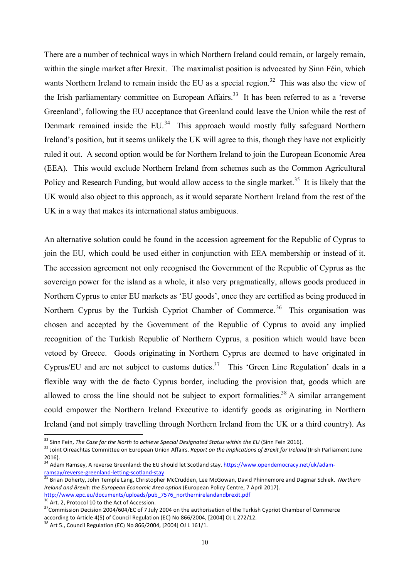There are a number of technical ways in which Northern Ireland could remain, or largely remain, within the single market after Brexit. The maximalist position is advocated by Sinn Féin, which wants Northern Ireland to remain inside the EU as a special region.<sup>32</sup> This was also the view of the Irish parliamentary committee on European Affairs.<sup>33</sup> It has been referred to as a 'reverse Greenland', following the EU acceptance that Greenland could leave the Union while the rest of Denmark remained inside the EU. $34$  This approach would mostly fully safeguard Northern Ireland's position, but it seems unlikely the UK will agree to this, though they have not explicitly ruled it out. A second option would be for Northern Ireland to join the European Economic Area (EEA). This would exclude Northern Ireland from schemes such as the Common Agricultural Policy and Research Funding, but would allow access to the single market.<sup>35</sup> It is likely that the UK would also object to this approach, as it would separate Northern Ireland from the rest of the UK in a way that makes its international status ambiguous.

An alternative solution could be found in the accession agreement for the Republic of Cyprus to join the EU, which could be used either in conjunction with EEA membership or instead of it. The accession agreement not only recognised the Government of the Republic of Cyprus as the sovereign power for the island as a whole, it also very pragmatically, allows goods produced in Northern Cyprus to enter EU markets as 'EU goods', once they are certified as being produced in Northern Cyprus by the Turkish Cypriot Chamber of Commerce.<sup>36</sup> This organisation was chosen and accepted by the Government of the Republic of Cyprus to avoid any implied recognition of the Turkish Republic of Northern Cyprus, a position which would have been vetoed by Greece. Goods originating in Northern Cyprus are deemed to have originated in Cyprus/EU and are not subject to customs duties.<sup>37</sup> This 'Green Line Regulation' deals in a flexible way with the de facto Cyprus border, including the provision that, goods which are allowed to cross the line should not be subject to export formalities.<sup>38</sup> A similar arrangement could empower the Northern Ireland Executive to identify goods as originating in Northern Ireland (and not simply travelling through Northern Ireland from the UK or a third country). As

 $32$  Sinn Fein, The Case for the North to achieve Special Designated Status within the EU (Sinn Fein 2016).<br> $33$  Joint Oireachtas Committee on European Union Affairs. Report on the implications of Brexit for Ireland (Iris 2016). 

<sup>&</sup>lt;sup>34</sup> Adam Ramsey, A reverse Greenland: the EU should let Scotland stay. https://www.opendemocracy.net/uk/adam-**Pramsay/reverse-greenland-letting-scotland-stay**<br>
<sup>35</sup> Brian Doherty, John Temple Lang, Christopher McCrudden, Lee McGowan, David Phinnemore and Dagmar Schiek. Northern

*Ireland and Brexit: the European Economic Area option* (European Policy Centre, 7 April 2017). http://www.epc.eu/documents/uploads/pub\_7576\_northernirelandandbrexit.pdf<br><sup>36</sup> Art. 2, Protocol 10 to the Act of Accession.

 $37$  Commission Decision 2004/604/EC of 7 July 2004 on the authorisation of the Turkish Cypriot Chamber of Commerce according to Article 4(5) of Council Regulation (EC) No 866/2004, [2004] OJ L 272/12.

 $38$  Art 5., Council Regulation (EC) No 866/2004, [2004] OJ L 161/1.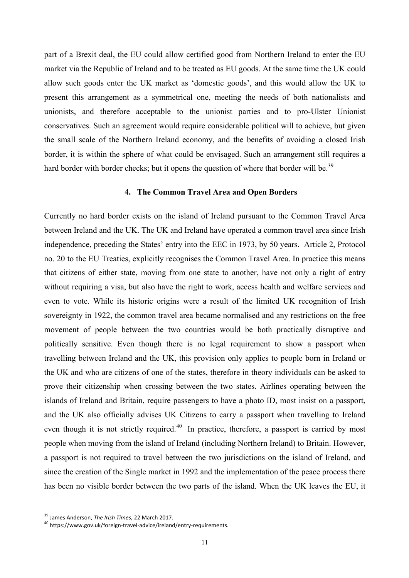part of a Brexit deal, the EU could allow certified good from Northern Ireland to enter the EU market via the Republic of Ireland and to be treated as EU goods. At the same time the UK could allow such goods enter the UK market as 'domestic goods', and this would allow the UK to present this arrangement as a symmetrical one, meeting the needs of both nationalists and unionists, and therefore acceptable to the unionist parties and to pro-Ulster Unionist conservatives. Such an agreement would require considerable political will to achieve, but given the small scale of the Northern Ireland economy, and the benefits of avoiding a closed Irish border, it is within the sphere of what could be envisaged. Such an arrangement still requires a hard border with border checks; but it opens the question of where that border will be.<sup>39</sup>

## **4. The Common Travel Area and Open Borders**

Currently no hard border exists on the island of Ireland pursuant to the Common Travel Area between Ireland and the UK. The UK and Ireland have operated a common travel area since Irish independence, preceding the States' entry into the EEC in 1973, by 50 years. Article 2, Protocol no. 20 to the EU Treaties, explicitly recognises the Common Travel Area. In practice this means that citizens of either state, moving from one state to another, have not only a right of entry without requiring a visa, but also have the right to work, access health and welfare services and even to vote. While its historic origins were a result of the limited UK recognition of Irish sovereignty in 1922, the common travel area became normalised and any restrictions on the free movement of people between the two countries would be both practically disruptive and politically sensitive. Even though there is no legal requirement to show a passport when travelling between Ireland and the UK, this provision only applies to people born in Ireland or the UK and who are citizens of one of the states, therefore in theory individuals can be asked to prove their citizenship when crossing between the two states. Airlines operating between the islands of Ireland and Britain, require passengers to have a photo ID, most insist on a passport, and the UK also officially advises UK Citizens to carry a passport when travelling to Ireland even though it is not strictly required.<sup>40</sup> In practice, therefore, a passport is carried by most people when moving from the island of Ireland (including Northern Ireland) to Britain. However, a passport is not required to travel between the two jurisdictions on the island of Ireland, and since the creation of the Single market in 1992 and the implementation of the peace process there has been no visible border between the two parts of the island. When the UK leaves the EU, it

<sup>&</sup>lt;sup>39</sup> James Anderson, *The Irish Times*, 22 March 2017.<br><sup>40</sup> https://www.gov.uk/foreign-travel-advice/ireland/entry-requirements.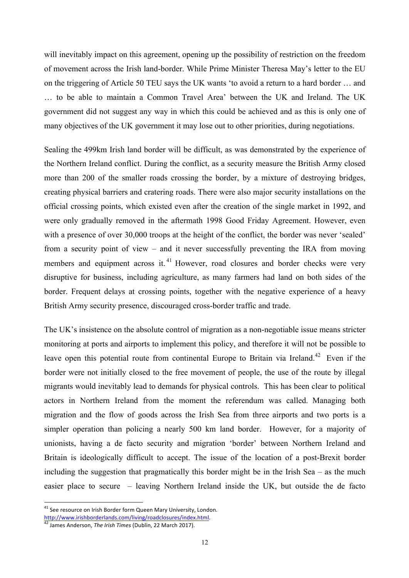will inevitably impact on this agreement, opening up the possibility of restriction on the freedom of movement across the Irish land-border. While Prime Minister Theresa May's letter to the EU on the triggering of Article 50 TEU says the UK wants 'to avoid a return to a hard border … and … to be able to maintain a Common Travel Area' between the UK and Ireland. The UK government did not suggest any way in which this could be achieved and as this is only one of many objectives of the UK government it may lose out to other priorities, during negotiations.

Sealing the 499km Irish land border will be difficult, as was demonstrated by the experience of the Northern Ireland conflict. During the conflict, as a security measure the British Army closed more than 200 of the smaller roads crossing the border, by a mixture of destroying bridges, creating physical barriers and cratering roads. There were also major security installations on the official crossing points, which existed even after the creation of the single market in 1992, and were only gradually removed in the aftermath 1998 Good Friday Agreement. However, even with a presence of over 30,000 troops at the height of the conflict, the border was never 'sealed' from a security point of view – and it never successfully preventing the IRA from moving members and equipment across it.<sup>41</sup> However, road closures and border checks were very disruptive for business, including agriculture, as many farmers had land on both sides of the border. Frequent delays at crossing points, together with the negative experience of a heavy British Army security presence, discouraged cross-border traffic and trade.

The UK's insistence on the absolute control of migration as a non-negotiable issue means stricter monitoring at ports and airports to implement this policy, and therefore it will not be possible to leave open this potential route from continental Europe to Britain via Ireland.<sup>42</sup> Even if the border were not initially closed to the free movement of people, the use of the route by illegal migrants would inevitably lead to demands for physical controls. This has been clear to political actors in Northern Ireland from the moment the referendum was called. Managing both migration and the flow of goods across the Irish Sea from three airports and two ports is a simpler operation than policing a nearly 500 km land border. However, for a majority of unionists, having a de facto security and migration 'border' between Northern Ireland and Britain is ideologically difficult to accept. The issue of the location of a post-Brexit border including the suggestion that pragmatically this border might be in the Irish Sea – as the much easier place to secure – leaving Northern Ireland inside the UK, but outside the de facto

 $41$  See resource on Irish Border form Queen Mary University, London.

http://www.irishborderlands.com/living/roadclosures/index.html.<br><sup>42</sup> James Anderson, *The Irish Times* (Dublin, 22 March 2017).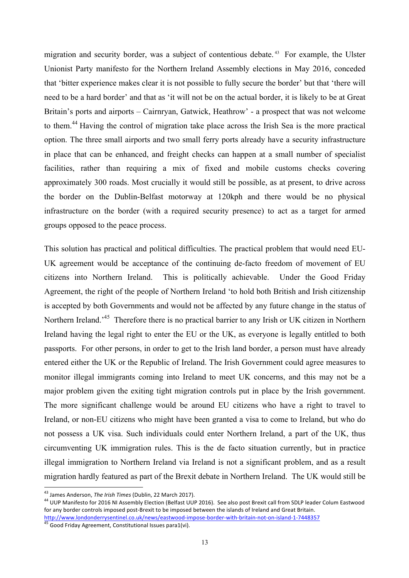migration and security border, was a subject of contentious debate.<sup>43</sup> For example, the Ulster Unionist Party manifesto for the Northern Ireland Assembly elections in May 2016, conceded that 'bitter experience makes clear it is not possible to fully secure the border' but that 'there will need to be a hard border' and that as 'it will not be on the actual border, it is likely to be at Great Britain's ports and airports – Cairnryan, Gatwick, Heathrow' - a prospect that was not welcome to them.<sup>44</sup> Having the control of migration take place across the Irish Sea is the more practical option. The three small airports and two small ferry ports already have a security infrastructure in place that can be enhanced, and freight checks can happen at a small number of specialist facilities, rather than requiring a mix of fixed and mobile customs checks covering approximately 300 roads. Most crucially it would still be possible, as at present, to drive across the border on the Dublin-Belfast motorway at 120kph and there would be no physical infrastructure on the border (with a required security presence) to act as a target for armed groups opposed to the peace process.

This solution has practical and political difficulties. The practical problem that would need EU-UK agreement would be acceptance of the continuing de-facto freedom of movement of EU citizens into Northern Ireland. This is politically achievable. Under the Good Friday Agreement, the right of the people of Northern Ireland 'to hold both British and Irish citizenship is accepted by both Governments and would not be affected by any future change in the status of Northern Ireland.<sup>45</sup> Therefore there is no practical barrier to any Irish or UK citizen in Northern Ireland having the legal right to enter the EU or the UK, as everyone is legally entitled to both passports. For other persons, in order to get to the Irish land border, a person must have already entered either the UK or the Republic of Ireland. The Irish Government could agree measures to monitor illegal immigrants coming into Ireland to meet UK concerns, and this may not be a major problem given the exiting tight migration controls put in place by the Irish government. The more significant challenge would be around EU citizens who have a right to travel to Ireland, or non-EU citizens who might have been granted a visa to come to Ireland, but who do not possess a UK visa. Such individuals could enter Northern Ireland, a part of the UK, thus circumventing UK immigration rules. This is the de facto situation currently, but in practice illegal immigration to Northern Ireland via Ireland is not a significant problem, and as a result migration hardly featured as part of the Brexit debate in Northern Ireland. The UK would still be

<sup>&</sup>lt;sup>43</sup> James Anderson, *The Irish Times* (Dublin, 22 March 2017).<br><sup>44</sup> UUP Manifesto for 2016 NI Assembly Election (Belfast UUP 2016). See also post Brexit call from SDLP leader Colum Eastwood for any border controls imposed post-Brexit to be imposed between the islands of Ireland and Great Britain.

http://www.londonderrysentinel.co.uk/news/eastwood-impose-border-with-britain-not-on-island-1-7448357<br><sup>45</sup> Good Friday Agreement, Constitutional Issues para1(vi).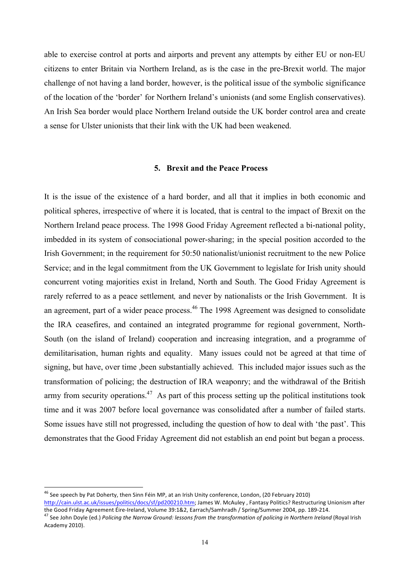able to exercise control at ports and airports and prevent any attempts by either EU or non-EU citizens to enter Britain via Northern Ireland, as is the case in the pre-Brexit world. The major challenge of not having a land border, however, is the political issue of the symbolic significance of the location of the 'border' for Northern Ireland's unionists (and some English conservatives). An Irish Sea border would place Northern Ireland outside the UK border control area and create a sense for Ulster unionists that their link with the UK had been weakened.

#### **5. Brexit and the Peace Process**

It is the issue of the existence of a hard border, and all that it implies in both economic and political spheres, irrespective of where it is located, that is central to the impact of Brexit on the Northern Ireland peace process. The 1998 Good Friday Agreement reflected a bi-national polity, imbedded in its system of consociational power-sharing; in the special position accorded to the Irish Government; in the requirement for 50:50 nationalist/unionist recruitment to the new Police Service; and in the legal commitment from the UK Government to legislate for Irish unity should concurrent voting majorities exist in Ireland, North and South. The Good Friday Agreement is rarely referred to as a peace settlement*,* and never by nationalists or the Irish Government. It is an agreement, part of a wider peace process.<sup>46</sup> The 1998 Agreement was designed to consolidate the IRA ceasefires, and contained an integrated programme for regional government, North-South (on the island of Ireland) cooperation and increasing integration, and a programme of demilitarisation, human rights and equality. Many issues could not be agreed at that time of signing, but have, over time ,been substantially achieved. This included major issues such as the transformation of policing; the destruction of IRA weaponry; and the withdrawal of the British army from security operations.<sup>47</sup> As part of this process setting up the political institutions took time and it was 2007 before local governance was consolidated after a number of failed starts. Some issues have still not progressed, including the question of how to deal with 'the past'. This demonstrates that the Good Friday Agreement did not establish an end point but began a process.

<sup>&</sup>lt;sup>46</sup> See speech by Pat Doherty, then Sinn Féin MP, at an Irish Unity conference, London, (20 February 2010)

http://cain.ulst.ac.uk/issues/politics/docs/sf/pd200210.htm; James W. McAuley, Fantasy Politics? Restructuring Unionism after<br>the Good Friday Agreement Éire-Ireland, Volume 39:1&2, Earrach/Samhradh / Spring/Summer 2004, pp

<sup>&</sup>lt;sup>47</sup> See John Doyle (ed.) Policing the Narrow Ground: lessons from the transformation of policing in Northern Ireland (Royal Irish Academy 2010).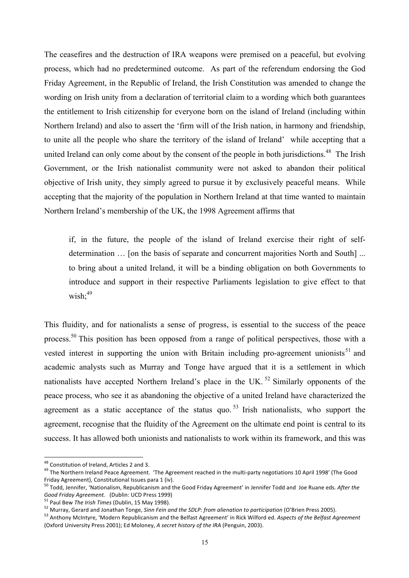The ceasefires and the destruction of IRA weapons were premised on a peaceful, but evolving process, which had no predetermined outcome. As part of the referendum endorsing the God Friday Agreement, in the Republic of Ireland, the Irish Constitution was amended to change the wording on Irish unity from a declaration of territorial claim to a wording which both guarantees the entitlement to Irish citizenship for everyone born on the island of Ireland (including within Northern Ireland) and also to assert the 'firm will of the Irish nation, in harmony and friendship, to unite all the people who share the territory of the island of Ireland' while accepting that a united Ireland can only come about by the consent of the people in both jurisdictions.<sup>48</sup> The Irish Government, or the Irish nationalist community were not asked to abandon their political objective of Irish unity, they simply agreed to pursue it by exclusively peaceful means. While accepting that the majority of the population in Northern Ireland at that time wanted to maintain Northern Ireland's membership of the UK, the 1998 Agreement affirms that

if, in the future, the people of the island of Ireland exercise their right of selfdetermination … [on the basis of separate and concurrent majorities North and South] ... to bring about a united Ireland, it will be a binding obligation on both Governments to introduce and support in their respective Parliaments legislation to give effect to that wish; $49$ 

This fluidity, and for nationalists a sense of progress, is essential to the success of the peace process.<sup>50</sup> This position has been opposed from a range of political perspectives, those with a vested interest in supporting the union with Britain including pro-agreement unionists<sup>51</sup> and academic analysts such as Murray and Tonge have argued that it is a settlement in which nationalists have accepted Northern Ireland's place in the UK.  $^{52}$  Similarly opponents of the peace process, who see it as abandoning the objective of a united Ireland have characterized the agreement as a static acceptance of the status quo.<sup>53</sup> Irish nationalists, who support the agreement, recognise that the fluidity of the Agreement on the ultimate end point is central to its success. It has allowed both unionists and nationalists to work within its framework, and this was

<sup>&</sup>lt;sup>48</sup> Constitution of Ireland, Articles 2 and 3.<br><sup>49</sup> The Northern Ireland Peace Agreement. The Agreement reached in the multi-party negotiations 10 April 1998' (The Good Friday Agreement), Constitutional Issues para 1 (iv).<br><sup>50</sup> Todd, Jennifer, 'Nationalism, Republicanism and the Good Friday Agreement' in Jennifer Todd and Joe Ruane eds. *After the* 

Good Friday Agreement. (Dublin: UCD Press 1999)<br><sup>51</sup> Paul Bew *The Irish Times* (Dublin, 15 May 1998).<br><sup>52</sup> Murray, Gerard and Jonathan Tonge, *Sinn Fein and the SDLP: from alienation to participation* (O'Brien Press 2005)

<sup>(</sup>Oxford University Press 2001): Ed Moloney, *A secret history of the IRA* (Penguin, 2003).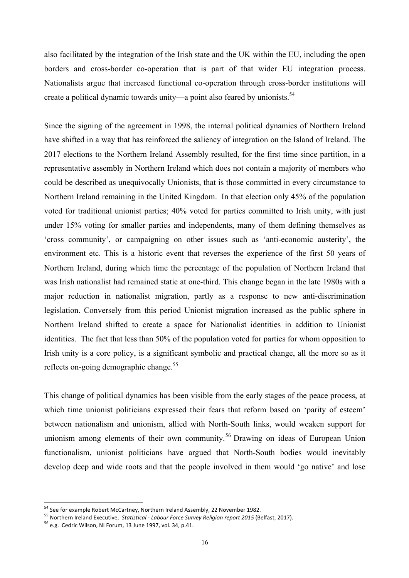also facilitated by the integration of the Irish state and the UK within the EU, including the open borders and cross-border co-operation that is part of that wider EU integration process. Nationalists argue that increased functional co-operation through cross-border institutions will create a political dynamic towards unity—a point also feared by unionists.<sup>54</sup>

Since the signing of the agreement in 1998, the internal political dynamics of Northern Ireland have shifted in a way that has reinforced the saliency of integration on the Island of Ireland. The 2017 elections to the Northern Ireland Assembly resulted, for the first time since partition, in a representative assembly in Northern Ireland which does not contain a majority of members who could be described as unequivocally Unionists, that is those committed in every circumstance to Northern Ireland remaining in the United Kingdom. In that election only 45% of the population voted for traditional unionist parties; 40% voted for parties committed to Irish unity, with just under 15% voting for smaller parties and independents, many of them defining themselves as 'cross community', or campaigning on other issues such as 'anti-economic austerity', the environment etc. This is a historic event that reverses the experience of the first 50 years of Northern Ireland, during which time the percentage of the population of Northern Ireland that was Irish nationalist had remained static at one-third. This change began in the late 1980s with a major reduction in nationalist migration, partly as a response to new anti-discrimination legislation. Conversely from this period Unionist migration increased as the public sphere in Northern Ireland shifted to create a space for Nationalist identities in addition to Unionist identities. The fact that less than 50% of the population voted for parties for whom opposition to Irish unity is a core policy, is a significant symbolic and practical change, all the more so as it reflects on-going demographic change.<sup>55</sup>

This change of political dynamics has been visible from the early stages of the peace process, at which time unionist politicians expressed their fears that reform based on 'parity of esteem' between nationalism and unionism, allied with North-South links, would weaken support for unionism among elements of their own community.<sup>56</sup> Drawing on ideas of European Union functionalism, unionist politicians have argued that North-South bodies would inevitably develop deep and wide roots and that the people involved in them would 'go native' and lose

<sup>&</sup>lt;sup>54</sup> See for example Robert McCartney, Northern Ireland Assembly, 22 November 1982.<br><sup>55</sup> Northern Ireland Executive, *Statistical - Labour Force Survey Religion report 2015* (Belfast, 2017).<br><sup>56</sup> e.g. Cedric Wilson, NI Fo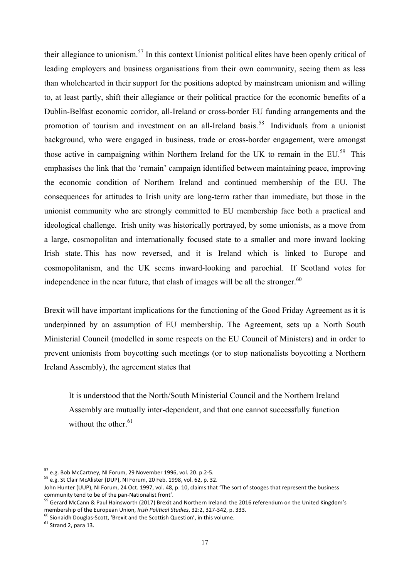their allegiance to unionism.<sup>57</sup> In this context Unionist political elites have been openly critical of leading employers and business organisations from their own community, seeing them as less than wholehearted in their support for the positions adopted by mainstream unionism and willing to, at least partly, shift their allegiance or their political practice for the economic benefits of a Dublin-Belfast economic corridor, all-Ireland or cross-border EU funding arrangements and the promotion of tourism and investment on an all-Ireland basis.<sup>58</sup> Individuals from a unionist background, who were engaged in business, trade or cross-border engagement, were amongst those active in campaigning within Northern Ireland for the UK to remain in the EU.<sup>59</sup> This emphasises the link that the 'remain' campaign identified between maintaining peace, improving the economic condition of Northern Ireland and continued membership of the EU. The consequences for attitudes to Irish unity are long-term rather than immediate, but those in the unionist community who are strongly committed to EU membership face both a practical and ideological challenge. Irish unity was historically portrayed, by some unionists, as a move from a large, cosmopolitan and internationally focused state to a smaller and more inward looking Irish state. This has now reversed, and it is Ireland which is linked to Europe and cosmopolitanism, and the UK seems inward-looking and parochial. If Scotland votes for independence in the near future, that clash of images will be all the stronger. $60$ 

Brexit will have important implications for the functioning of the Good Friday Agreement as it is underpinned by an assumption of EU membership. The Agreement, sets up a North South Ministerial Council (modelled in some respects on the EU Council of Ministers) and in order to prevent unionists from boycotting such meetings (or to stop nationalists boycotting a Northern Ireland Assembly), the agreement states that

It is understood that the North/South Ministerial Council and the Northern Ireland Assembly are mutually inter-dependent, and that one cannot successfully function without the other. $61$ 

 $57$  e.g. Bob McCartney, NI Forum, 29 November 1996, vol. 20. p.2-5.<br> $58$  e.g. St Clair McAlister (DUP), NI Forum, 20 Feb. 1998, vol. 62, p. 32.

John Hunter (UUP), NI Forum, 24 Oct. 1997, vol. 48, p. 10, claims that 'The sort of stooges that represent the business community tend to be of the pan-Nationalist front'.<br><sup>59</sup> Gerard McCann & Paul Hainsworth (2017) Brexit and Northern Ireland: the 2016 referendum on the United Kingdom's

membership of the European Union, *Irish Political Studies*, 32:2, 327-342, p. 333. 60<br>
<sup>60</sup> Sionaidh Douglas-Scott, 'Brexit and the Scottish Question', in this volume.<br>
<sup>61</sup> Strand 2, para 13.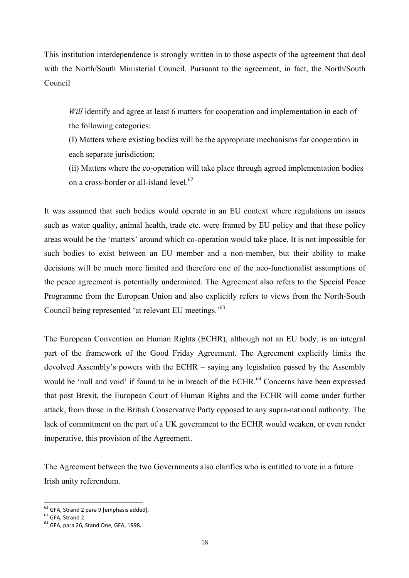This institution interdependence is strongly written in to those aspects of the agreement that deal with the North/South Ministerial Council. Pursuant to the agreement, in fact, the North/South Council

*Will* identify and agree at least 6 matters for cooperation and implementation in each of the following categories:

(I) Matters where existing bodies will be the appropriate mechanisms for cooperation in each separate jurisdiction;

(ii) Matters where the co-operation will take place through agreed implementation bodies on a cross-border or all-island level.<sup>62</sup>

It was assumed that such bodies would operate in an EU context where regulations on issues such as water quality, animal health, trade etc. were framed by EU policy and that these policy areas would be the 'matters' around which co-operation would take place. It is not impossible for such bodies to exist between an EU member and a non-member, but their ability to make decisions will be much more limited and therefore one of the neo-functionalist assumptions of the peace agreement is potentially undermined. The Agreement also refers to the Special Peace Programme from the European Union and also explicitly refers to views from the North-South Council being represented 'at relevant EU meetings.' 63

The European Convention on Human Rights (ECHR), although not an EU body, is an integral part of the framework of the Good Friday Agreement. The Agreement explicitly limits the devolved Assembly's powers with the ECHR – saying any legislation passed by the Assembly would be 'null and void' if found to be in breach of the ECHR.<sup>64</sup> Concerns have been expressed that post Brexit, the European Court of Human Rights and the ECHR will come under further attack, from those in the British Conservative Party opposed to any supra-national authority. The lack of commitment on the part of a UK government to the ECHR would weaken, or even render inoperative, this provision of the Agreement.

The Agreement between the two Governments also clarifies who is entitled to vote in a future Irish unity referendum.

<sup>&</sup>lt;sup>62</sup> GFA, Strand 2 para 9 [emphasis added].<br><sup>63</sup> GFA, Strand 2.<br><sup>64</sup> GFA, para 26, Stand One, GFA, 1998.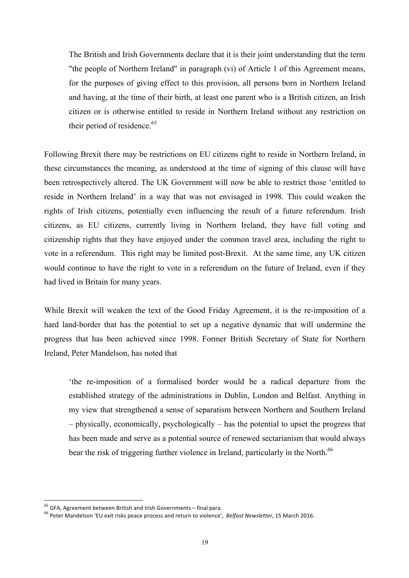The British and Irish Governments declare that it is their joint understanding that the term "the people of Northern Ireland" in paragraph (vi) of Article 1 of this Agreement means, for the purposes of giving effect to this provision, all persons born in Northern Ireland and having, at the time of their birth, at least one parent who is a British citizen, an Irish citizen or is otherwise entitled to reside in Northern Ireland without any restriction on their period of residence. $65$ 

Following Brexit there may be restrictions on EU citizens right to reside in Northern Ireland, in these circumstances the meaning, as understood at the time of signing of this clause will have been retrospectively altered. The UK Government will now be able to restrict those 'entitled to reside in Northern Ireland' in a way that was not envisaged in 1998. This could weaken the rights of Irish citizens, potentially even influencing the result of a future referendum. Irish citizens, as EU citizens, currently living in Northern Ireland, they have full voting and citizenship rights that they have enjoyed under the common travel area, including the right to vote in a referendum. This right may be limited post-Brexit. At the same time, any UK citizen would continue to have the right to vote in a referendum on the future of Ireland, even if they had lived in Britain for many years.

While Brexit will weaken the text of the Good Friday Agreement, it is the re-imposition of a hard land-border that has the potential to set up a negative dynamic that will undermine the progress that has been achieved since 1998. Former British Secretary of State for Northern Ireland, Peter Mandelson, has noted that

'the re-imposition of a formalised border would be a radical departure from the established strategy of the administrations in Dublin, London and Belfast. Anything in my view that strengthened a sense of separatism between Northern and Southern Ireland – physically, economically, psychologically – has the potential to upset the progress that has been made and serve as a potential source of renewed sectarianism that would always bear the risk of triggering further violence in Ireland, particularly in the North.<sup>66</sup>

<sup>&</sup>lt;sup>65</sup> GFA, Agreement between British and Irish Governments – final para.<br><sup>66</sup> Peter Mandelson 'EU exit risks peace process and return to violence', *Belfast Newsletter*, 15 March 2016.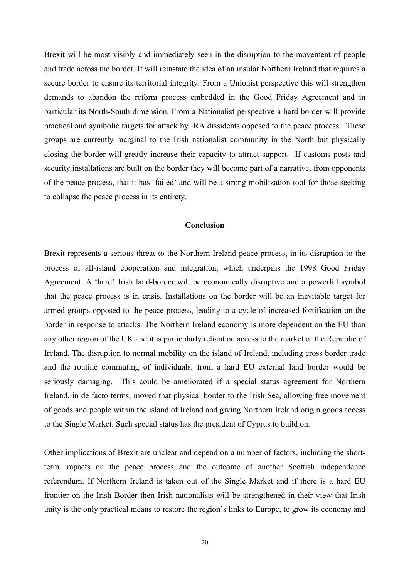Brexit will be most visibly and immediately seen in the disruption to the movement of people and trade across the border. It will reinstate the idea of an insular Northern Ireland that requires a secure border to ensure its territorial integrity. From a Unionist perspective this will strengthen demands to abandon the reform process embedded in the Good Friday Agreement and in particular its North-South dimension. From a Nationalist perspective a hard border will provide practical and symbolic targets for attack by IRA dissidents opposed to the peace process. These groups are currently marginal to the Irish nationalist community in the North but physically closing the border will greatly increase their capacity to attract support. If customs posts and security installations are built on the border they will become part of a narrative, from opponents of the peace process, that it has 'failed' and will be a strong mobilization tool for those seeking to collapse the peace process in its entirety.

#### **Conclusion**

Brexit represents a serious threat to the Northern Ireland peace process, in its disruption to the process of all-island cooperation and integration, which underpins the 1998 Good Friday Agreement. A 'hard' Irish land-border will be economically disruptive and a powerful symbol that the peace process is in crisis. Installations on the border will be an inevitable target for armed groups opposed to the peace process, leading to a cycle of increased fortification on the border in response to attacks. The Northern Ireland economy is more dependent on the EU than any other region of the UK and it is particularly reliant on access to the market of the Republic of Ireland. The disruption to normal mobility on the island of Ireland, including cross border trade and the routine commuting of individuals, from a hard EU external land border would be seriously damaging. This could be ameliorated if a special status agreement for Northern Ireland, in de facto terms, moved that physical border to the Irish Sea, allowing free movement of goods and people within the island of Ireland and giving Northern Ireland origin goods access to the Single Market. Such special status has the president of Cyprus to build on.

Other implications of Brexit are unclear and depend on a number of factors, including the shortterm impacts on the peace process and the outcome of another Scottish independence referendum. If Northern Ireland is taken out of the Single Market and if there is a hard EU frontier on the Irish Border then Irish nationalists will be strengthened in their view that Irish unity is the only practical means to restore the region's links to Europe, to grow its economy and